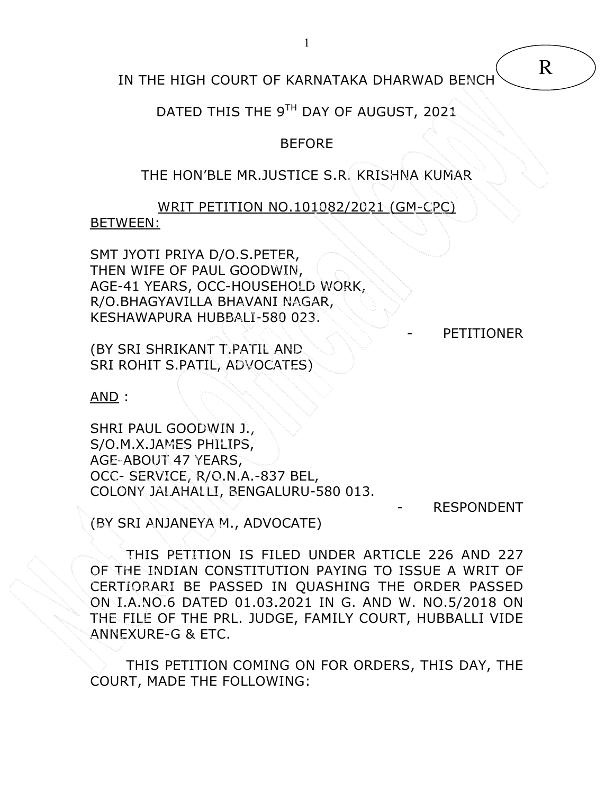IN THE HIGH COURT OF KARNATAKA DHARWAD BENCH

DATED THIS THE 9TH DAY OF AUGUST, 2021

## BEFORE

## THE HON'BLE MR.JUSTICE S.R. KRISHNA KUMAR

WRIT PETITION NO.101082/2021 (GM-CPC) BETWEEN:

SMT JYOTI PRIYA D/O.S.PETER, THEN WIFE OF PAUL GOODWIN, AGE-41 YEARS, OCC-HOUSEHOLD WORK, R/O.BHAGYAVILLA BHAVANI NAGAR, KESHAWAPURA HUBBALI-580 023.

**PETITIONER** 

(BY SRI SHRIKANT T.PATIL AND SRI ROHIT S.PATIL, ADVOCATES)

AND :

SHRI PAUL GOODWIN J., S/O.M.X.JAMES PHILIPS, AGE-ABOUT 47 YEARS, OCC- SERVICE, R/O.N.A.-837 BEL, COLONY JALAHALLI, BENGALURU-580 013.

**RESPONDENT** 

(BY SRI ANJANEYA M., ADVOCATE)

 THIS PETITION IS FILED UNDER ARTICLE 226 AND 227 OF THE INDIAN CONSTITUTION PAYING TO ISSUE A WRIT OF CERTIORARI BE PASSED IN QUASHING THE ORDER PASSED ON I.A.NO.6 DATED 01.03.2021 IN G. AND W. NO.5/2018 ON THE FILE OF THE PRL. JUDGE, FAMILY COURT, HUBBALLI VIDE ANNEXURE-G & ETC.

 THIS PETITION COMING ON FOR ORDERS, THIS DAY, THE COURT, MADE THE FOLLOWING: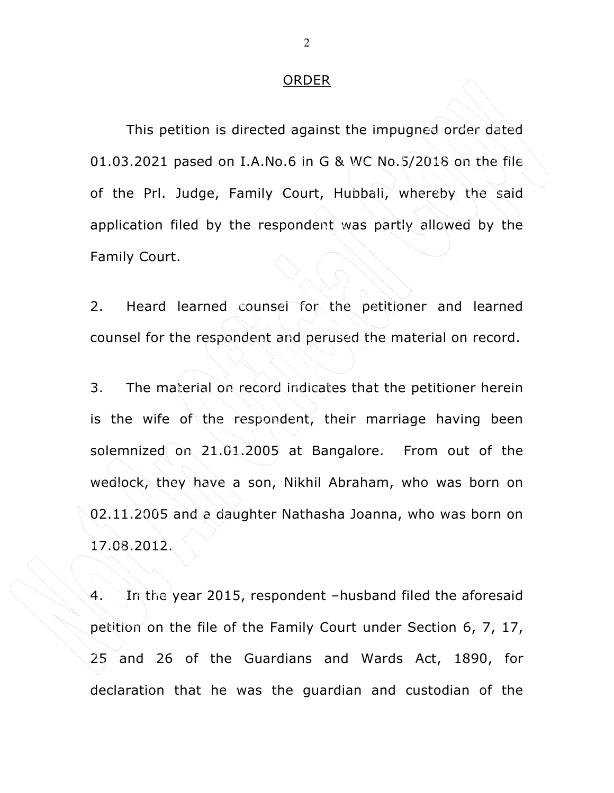## **ORDER**

This petition is directed against the impugned order dated 01.03.2021 pased on I.A.No.6 in G & WC No.5/2018 on the file of the Prl. Judge, Family Court, Hubbali, whereby the said application filed by the respondent was partly allowed by the Family Court.

2. Heard learned counsel for the petitioner and learned counsel for the respondent and perused the material on record.

3. The material on record indicates that the petitioner herein is the wife of the respondent, their marriage having been solemnized on 21.01.2005 at Bangalore. From out of the wedlock, they have a son, Nikhil Abraham, who was born on 02.11.2005 and a daughter Nathasha Joanna, who was born on 17.08.2012.

4. In the year 2015, respondent –husband filed the aforesaid petition on the file of the Family Court under Section 6, 7, 17, 25 and 26 of the Guardians and Wards Act, 1890, for declaration that he was the guardian and custodian of the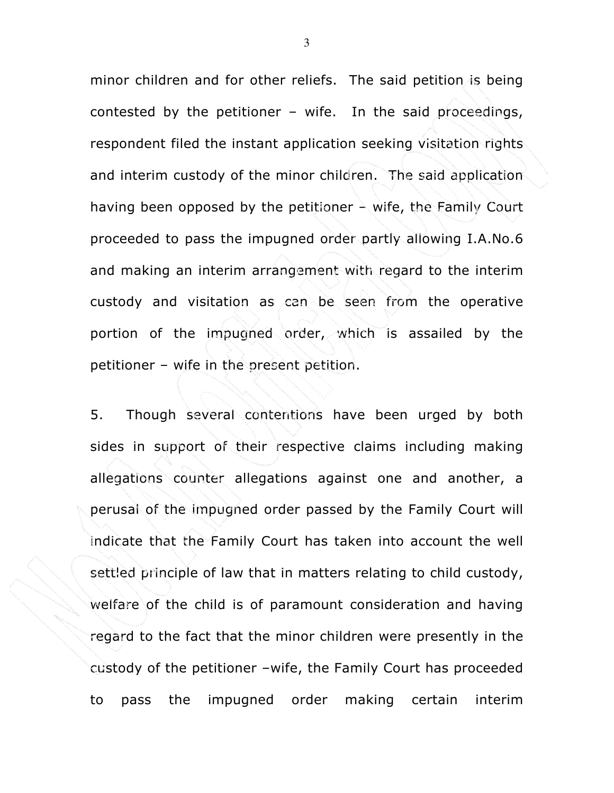minor children and for other reliefs. The said petition is being contested by the petitioner – wife. In the said proceedings, respondent filed the instant application seeking visitation rights and interim custody of the minor children. The said application having been opposed by the petitioner – wife, the Family Court proceeded to pass the impugned order partly allowing I.A.No.6 and making an interim arrangement with regard to the interim custody and visitation as can be seen from the operative portion of the impugned order, which is assailed by the petitioner – wife in the present petition.

5. Though several contentions have been urged by both sides in support of their respective claims including making allegations counter allegations against one and another, a perusal of the impugned order passed by the Family Court will indicate that the Family Court has taken into account the well settled principle of law that in matters relating to child custody, welfare of the child is of paramount consideration and having regard to the fact that the minor children were presently in the custody of the petitioner –wife, the Family Court has proceeded to pass the impugned order making certain interim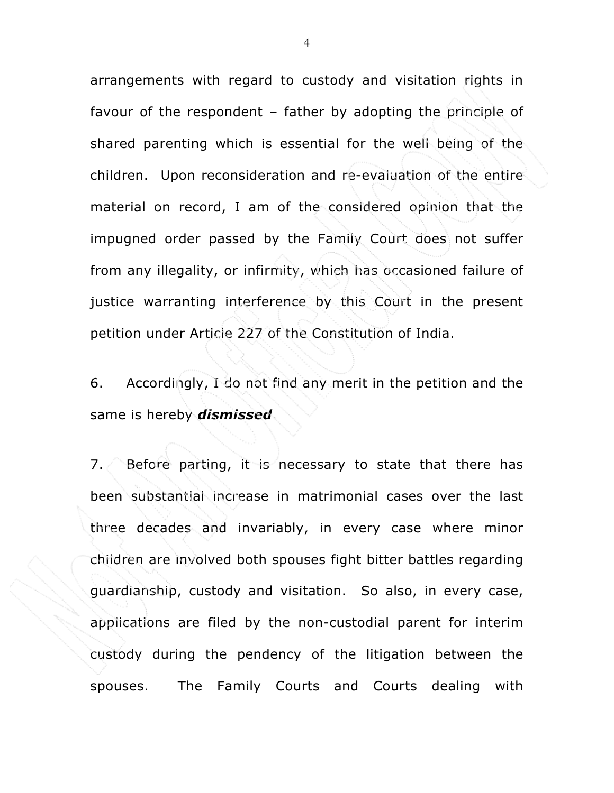arrangements with regard to custody and visitation rights in favour of the respondent – father by adopting the principle of shared parenting which is essential for the well being of the children. Upon reconsideration and re-evaluation of the entire material on record, I am of the considered opinion that the impugned order passed by the Family Court does not suffer from any illegality, or infirmity, which has occasioned failure of justice warranting interference by this Court in the present petition under Article 227 of the Constitution of India.

6. Accordingly, I do not find any merit in the petition and the same is hereby *dismissed*.

7. Before parting, it is necessary to state that there has been substantial increase in matrimonial cases over the last three decades and invariably, in every case where minor children are involved both spouses fight bitter battles regarding guardianship, custody and visitation. So also, in every case, applications are filed by the non-custodial parent for interim custody during the pendency of the litigation between the spouses. The Family Courts and Courts dealing with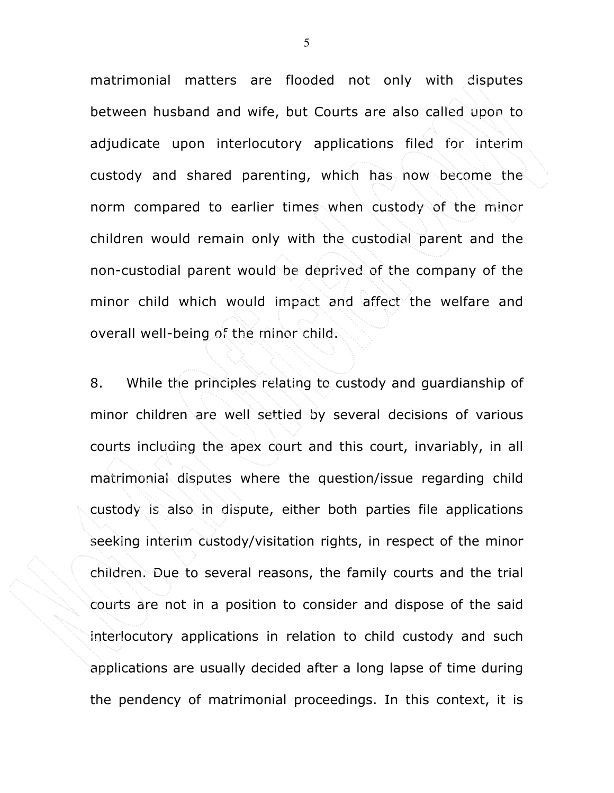matrimonial matters are flooded not only with disputes between husband and wife, but Courts are also called upon to adjudicate upon interlocutory applications filed for interim custody and shared parenting, which has now become the norm compared to earlier times when custody of the minor children would remain only with the custodial parent and the non-custodial parent would be deprived of the company of the minor child which would impact and affect the welfare and overall well-being of the minor child.

8. While the principles relating to custody and guardianship of minor children are well settled by several decisions of various courts including the apex court and this court, invariably, in all matrimonial disputes where the question/issue regarding child custody is also in dispute, either both parties file applications seeking interim custody/visitation rights, in respect of the minor children. Due to several reasons, the family courts and the trial courts are not in a position to consider and dispose of the said interlocutory applications in relation to child custody and such applications are usually decided after a long lapse of time during the pendency of matrimonial proceedings. In this context, it is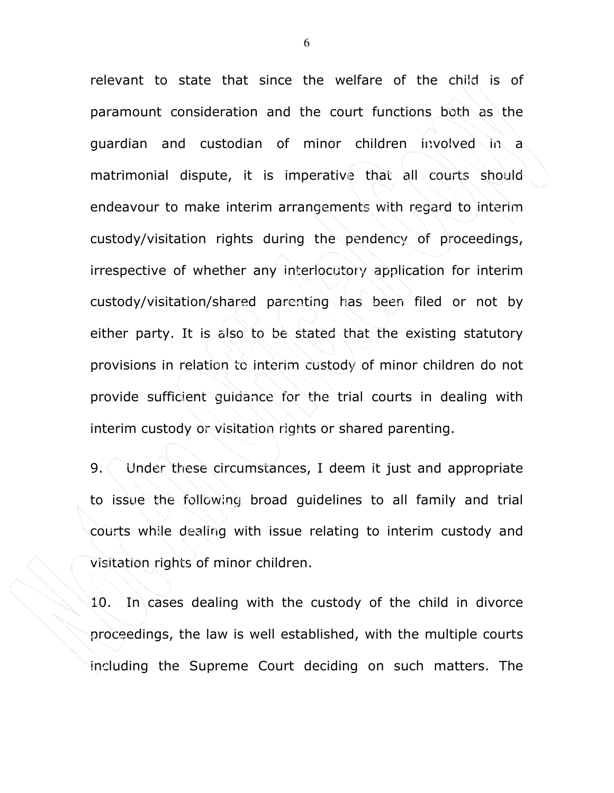relevant to state that since the welfare of the child is of paramount consideration and the court functions both as the guardian and custodian of minor children involved in a matrimonial dispute, it is imperative that all courts should endeavour to make interim arrangements with regard to interim custody/visitation rights during the pendency of proceedings, irrespective of whether any interlocutory application for interim custody/visitation/shared parenting has been filed or not by either party. It is also to be stated that the existing statutory provisions in relation to interim custody of minor children do not provide sufficient guidance for the trial courts in dealing with interim custody or visitation rights or shared parenting.

9. Under these circumstances, I deem it just and appropriate to issue the following broad guidelines to all family and trial courts while dealing with issue relating to interim custody and visitation rights of minor children.

10. In cases dealing with the custody of the child in divorce proceedings, the law is well established, with the multiple courts including the Supreme Court deciding on such matters. The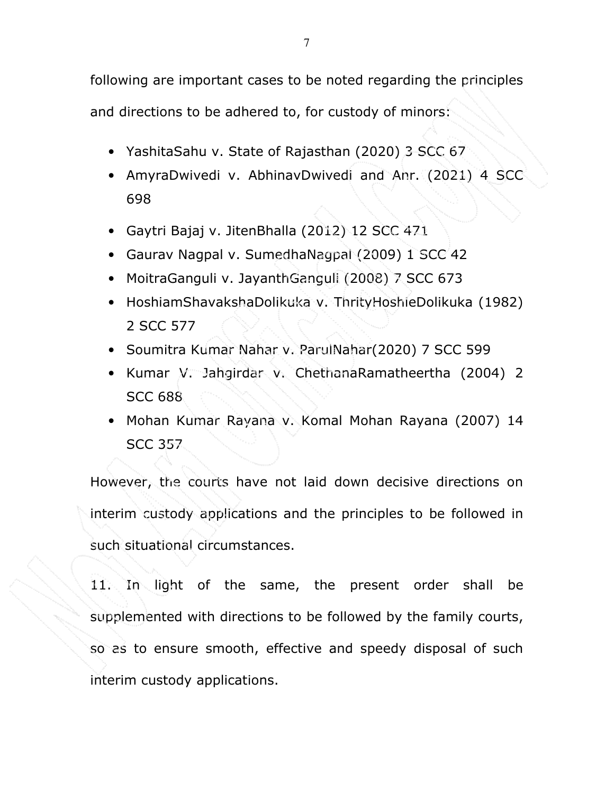following are important cases to be noted regarding the principles

and directions to be adhered to, for custody of minors:

- YashitaSahu v. State of Rajasthan (2020) 3 SCC 67
- AmyraDwivedi v. AbhinavDwivedi and Anr. (2021) 4 SCC 698
- Gaytri Bajaj v. JitenBhalla (2012) 12 SCC 471
- Gaurav Nagpal v. SumedhaNagpal (2009) 1 SCC 42
- MoitraGanguli v. JayanthGanguli (2008) 7 SCC 673
- HoshiamShavakshaDolikuka v. ThrityHoshieDolikuka (1982) 2 SCC 577
- Soumitra Kumar Nahar v. ParulNahar(2020) 7 SCC 599
- Kumar V. Jahgirdar v. ChethanaRamatheertha (2004) 2 SCC 688
- Mohan Kumar Rayana v. Komal Mohan Rayana (2007) 14 SCC 357

However, the courts have not laid down decisive directions on interim custody applications and the principles to be followed in such situational circumstances.

11. In light of the same, the present order shall be supplemented with directions to be followed by the family courts, so as to ensure smooth, effective and speedy disposal of such interim custody applications.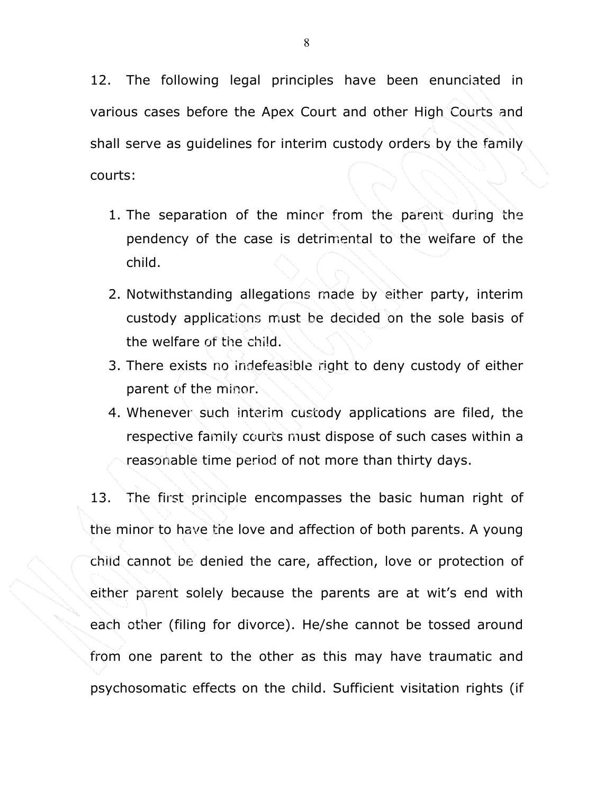12. The following legal principles have been enunciated in various cases before the Apex Court and other High Courts and shall serve as guidelines for interim custody orders by the family courts:

- 1. The separation of the minor from the parent during the pendency of the case is detrimental to the welfare of the child.
- 2. Notwithstanding allegations made by either party, interim custody applications must be decided on the sole basis of the welfare of the child.
- 3. There exists no indefeasible right to deny custody of either parent of the minor.
- 4. Whenever such interim custody applications are filed, the respective family courts must dispose of such cases within a reasonable time period of not more than thirty days.

13. The first principle encompasses the basic human right of the minor to have the love and affection of both parents. A young child cannot be denied the care, affection, love or protection of either parent solely because the parents are at wit's end with each other (filing for divorce). He/she cannot be tossed around from one parent to the other as this may have traumatic and psychosomatic effects on the child. Sufficient visitation rights (if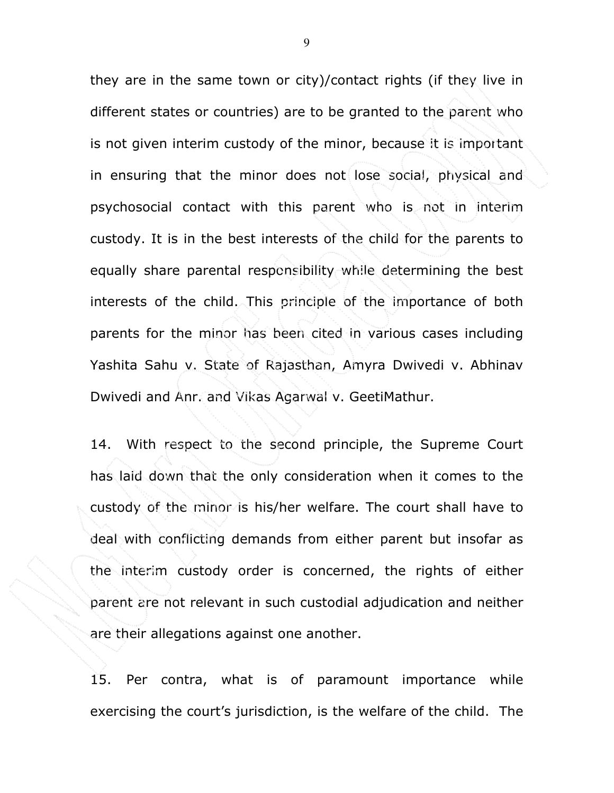they are in the same town or city)/contact rights (if they live in different states or countries) are to be granted to the parent who is not given interim custody of the minor, because it is important in ensuring that the minor does not lose social, physical and psychosocial contact with this parent who is not in interim custody. It is in the best interests of the child for the parents to equally share parental responsibility while determining the best interests of the child. This principle of the importance of both parents for the minor has been cited in various cases including Yashita Sahu v. State of Rajasthan, Amyra Dwivedi v. Abhinav Dwivedi and Anr. and Vikas Agarwal v. GeetiMathur.

14. With respect to the second principle, the Supreme Court has laid down that the only consideration when it comes to the custody of the minor is his/her welfare. The court shall have to deal with conflicting demands from either parent but insofar as the interim custody order is concerned, the rights of either parent are not relevant in such custodial adjudication and neither are their allegations against one another.

15. Per contra, what is of paramount importance while exercising the court's jurisdiction, is the welfare of the child. The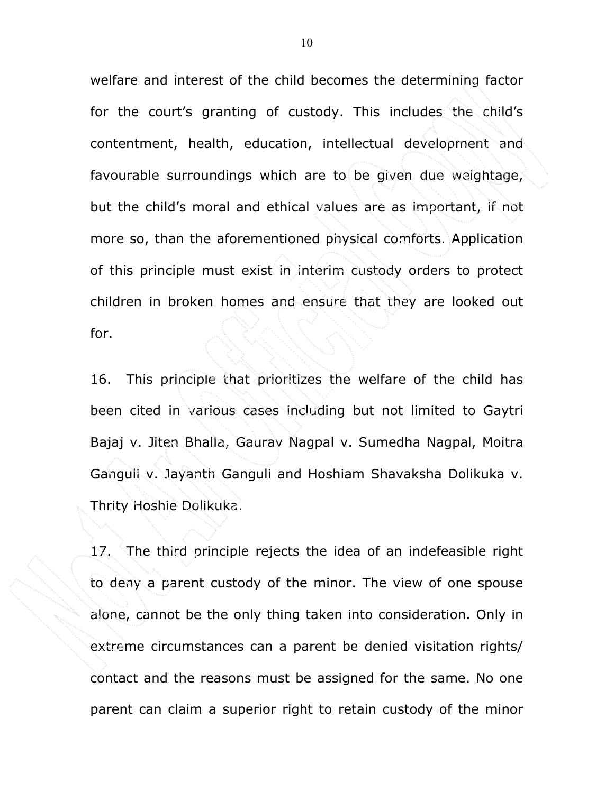welfare and interest of the child becomes the determining factor for the court's granting of custody. This includes the child's contentment, health, education, intellectual development and favourable surroundings which are to be given due weightage, but the child's moral and ethical values are as important, if not more so, than the aforementioned physical comforts. Application of this principle must exist in interim custody orders to protect children in broken homes and ensure that they are looked out for.

16. This principle that prioritizes the welfare of the child has been cited in various cases including but not limited to Gaytri Bajaj v. Jiten Bhalla, Gaurav Nagpal v. Sumedha Nagpal, Moitra Ganguli v. Jayanth Ganguli and Hoshiam Shavaksha Dolikuka v. Thrity Hoshie Dolikuka.

17. The third principle rejects the idea of an indefeasible right to deny a parent custody of the minor. The view of one spouse alone, cannot be the only thing taken into consideration. Only in extreme circumstances can a parent be denied visitation rights/ contact and the reasons must be assigned for the same. No one parent can claim a superior right to retain custody of the minor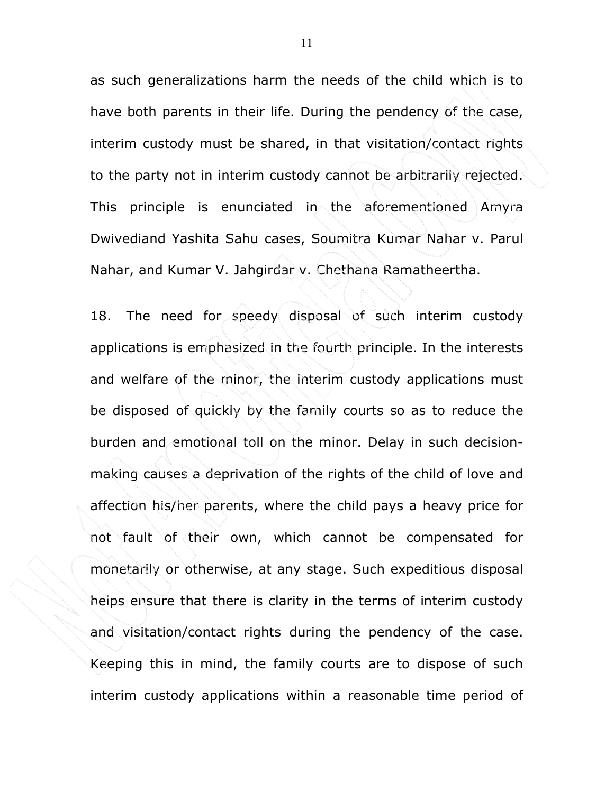as such generalizations harm the needs of the child which is to have both parents in their life. During the pendency of the case, interim custody must be shared, in that visitation/contact rights to the party not in interim custody cannot be arbitrarily rejected. This principle is enunciated in the aforementioned Amyra Dwivediand Yashita Sahu cases, Soumitra Kumar Nahar v. Parul Nahar, and Kumar V. Jahgirdar v. Chethana Ramatheertha.

18. The need for speedy disposal of such interim custody applications is emphasized in the fourth principle. In the interests and welfare of the minor, the interim custody applications must be disposed of quickly by the family courts so as to reduce the burden and emotional toll on the minor. Delay in such decisionmaking causes a deprivation of the rights of the child of love and affection his/her parents, where the child pays a heavy price for not fault of their own, which cannot be compensated for monetarily or otherwise, at any stage. Such expeditious disposal helps ensure that there is clarity in the terms of interim custody and visitation/contact rights during the pendency of the case. Keeping this in mind, the family courts are to dispose of such interim custody applications within a reasonable time period of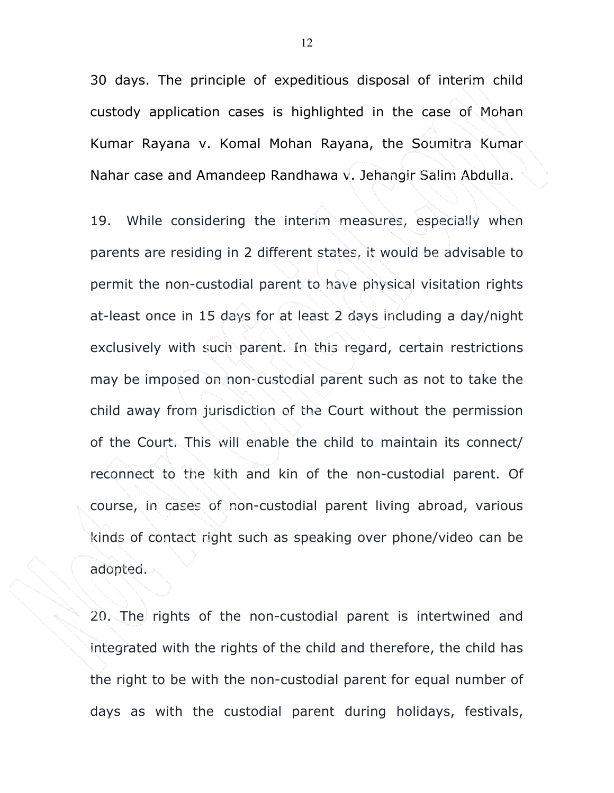30 days. The principle of expeditious disposal of interim child custody application cases is highlighted in the case of Mohan Kumar Rayana v. Komal Mohan Rayana, the Soumitra Kumar Nahar case and Amandeep Randhawa v. Jehangir Salim Abdulla.

19. While considering the interim measures, especially when parents are residing in 2 different states, it would be advisable to permit the non-custodial parent to have physical visitation rights at-least once in 15 days for at least 2 days including a day/night exclusively with such parent. In this regard, certain restrictions may be imposed on non-custodial parent such as not to take the child away from jurisdiction of the Court without the permission of the Court. This will enable the child to maintain its connect/ reconnect to the kith and kin of the non-custodial parent. Of course, in cases of non-custodial parent living abroad, various kinds of contact right such as speaking over phone/video can be adopted.

20. The rights of the non-custodial parent is intertwined and integrated with the rights of the child and therefore, the child has the right to be with the non-custodial parent for equal number of days as with the custodial parent during holidays, festivals,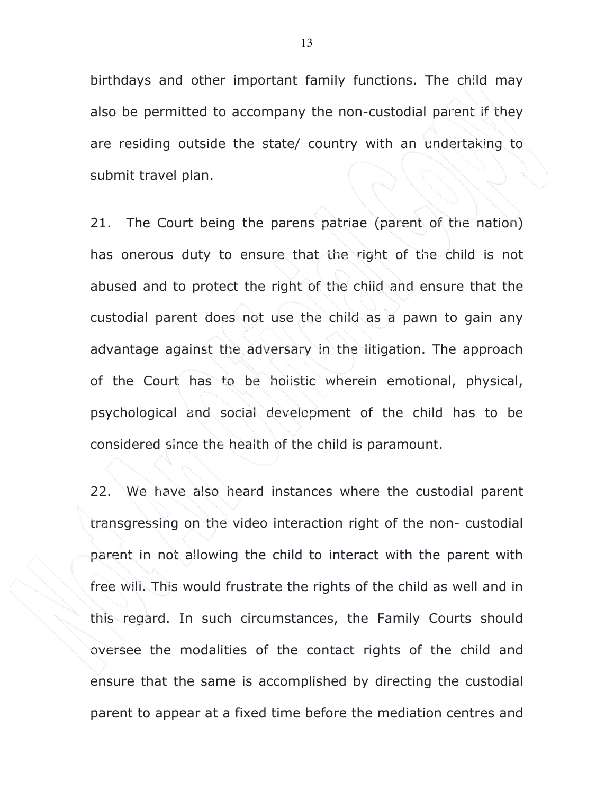birthdays and other important family functions. The child may also be permitted to accompany the non-custodial parent if they are residing outside the state/ country with an undertaking to submit travel plan.

21. The Court being the parens patriae (parent of the nation) has onerous duty to ensure that the right of the child is not abused and to protect the right of the child and ensure that the custodial parent does not use the child as a pawn to gain any advantage against the adversary in the litigation. The approach of the Court has to be holistic wherein emotional, physical, psychological and social development of the child has to be considered since the health of the child is paramount.

22. We have also heard instances where the custodial parent transgressing on the video interaction right of the non- custodial parent in not allowing the child to interact with the parent with free will. This would frustrate the rights of the child as well and in this regard. In such circumstances, the Family Courts should oversee the modalities of the contact rights of the child and ensure that the same is accomplished by directing the custodial parent to appear at a fixed time before the mediation centres and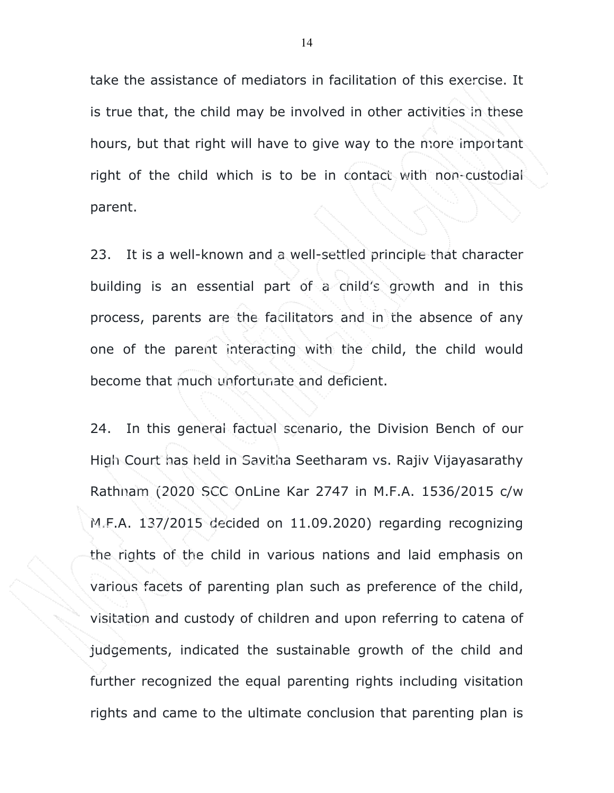take the assistance of mediators in facilitation of this exercise. It is true that, the child may be involved in other activities in these hours, but that right will have to give way to the more important right of the child which is to be in contact with non-custodial parent.

23. It is a well-known and a well-settled principle that character building is an essential part of a child's growth and in this process, parents are the facilitators and in the absence of any one of the parent interacting with the child, the child would become that much unfortunate and deficient.

24. In this general factual scenario, the Division Bench of our High Court has held in Savitha Seetharam vs. Rajiv Vijayasarathy Rathnam (2020 SCC OnLine Kar 2747 in M.F.A. 1536/2015 c/w M.F.A. 137/2015 decided on 11.09.2020) regarding recognizing the rights of the child in various nations and laid emphasis on various facets of parenting plan such as preference of the child, visitation and custody of children and upon referring to catena of judgements, indicated the sustainable growth of the child and further recognized the equal parenting rights including visitation rights and came to the ultimate conclusion that parenting plan is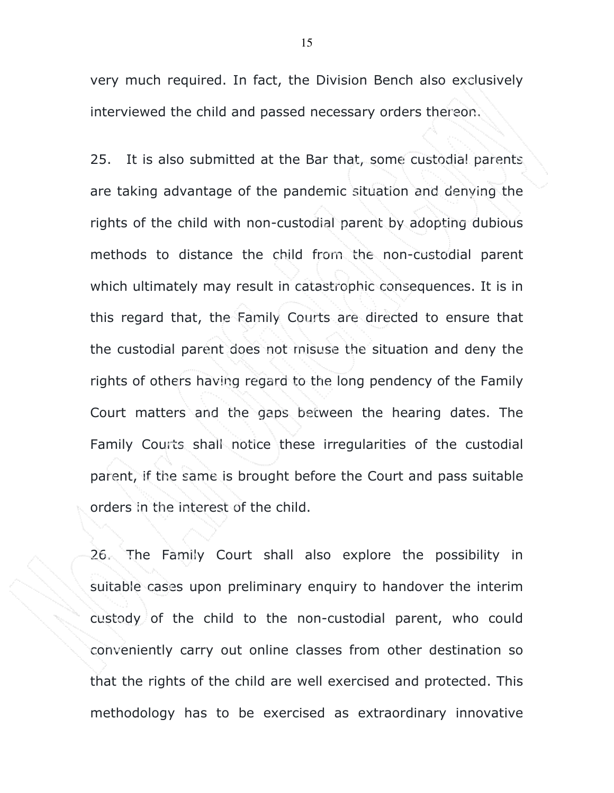very much required. In fact, the Division Bench also exclusively interviewed the child and passed necessary orders thereon.

25. It is also submitted at the Bar that, some custodial parents are taking advantage of the pandemic situation and denying the rights of the child with non-custodial parent by adopting dubious methods to distance the child from the non-custodial parent which ultimately may result in catastrophic consequences. It is in this regard that, the Family Courts are directed to ensure that the custodial parent does not misuse the situation and deny the rights of others having regard to the long pendency of the Family Court matters and the gaps between the hearing dates. The Family Courts shall notice these irregularities of the custodial parent, if the same is brought before the Court and pass suitable orders in the interest of the child.

26. The Family Court shall also explore the possibility in suitable cases upon preliminary enquiry to handover the interim custody of the child to the non-custodial parent, who could conveniently carry out online classes from other destination so that the rights of the child are well exercised and protected. This methodology has to be exercised as extraordinary innovative